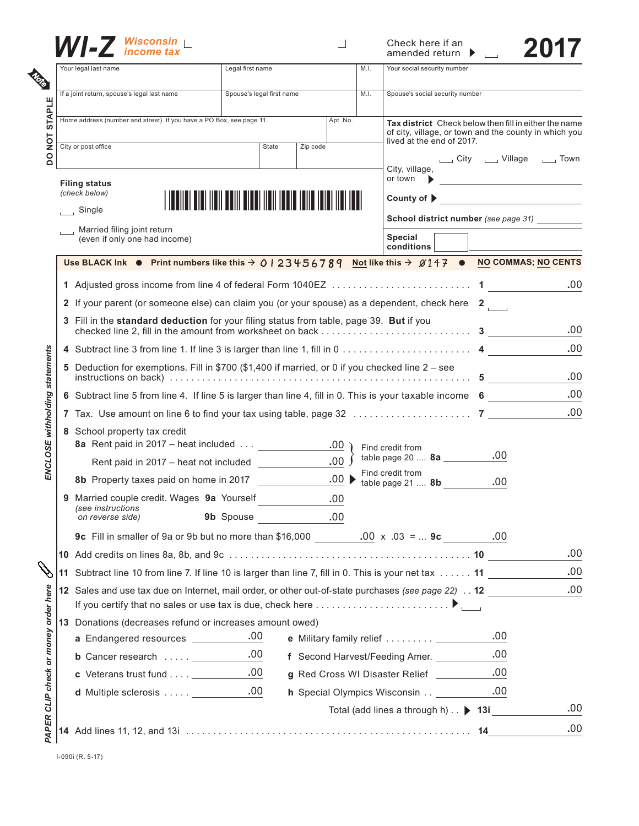

|  | $\blacksquare$ Wisconsin $\blacksquare$                                                                                             |                                                                                                        |                      |                                               | Check here if an<br>amended return                                                                                                        |     |  |  |
|--|-------------------------------------------------------------------------------------------------------------------------------------|--------------------------------------------------------------------------------------------------------|----------------------|-----------------------------------------------|-------------------------------------------------------------------------------------------------------------------------------------------|-----|--|--|
|  | Your legal last name                                                                                                                | Legal first name                                                                                       |                      | M.I.                                          | Your social security number                                                                                                               |     |  |  |
|  | If a joint return, spouse's legal last name                                                                                         | Spouse's legal first name                                                                              |                      | M.I.                                          | Spouse's social security number                                                                                                           |     |  |  |
|  | Home address (number and street). If you have a PO Box, see page 11.<br>Apt. No.                                                    |                                                                                                        |                      |                                               | Tax district Check below then fill in either the name                                                                                     |     |  |  |
|  | City or post office<br><b>State</b><br>Zip code                                                                                     |                                                                                                        |                      |                                               | of city, village, or town and the county in which you<br>lived at the end of 2017.                                                        |     |  |  |
|  |                                                                                                                                     |                                                                                                        |                      |                                               | City _____ Village _____ Town<br>City, village,<br>or town                                                                                |     |  |  |
|  | <b>Filing status</b><br>(check below)                                                                                               |                                                                                                        |                      |                                               | County of $\triangleright$                                                                                                                |     |  |  |
|  | $\Box$ Single                                                                                                                       |                                                                                                        |                      | School district number (see page 31)          |                                                                                                                                           |     |  |  |
|  | Married filing joint return<br>(even if only one had income)                                                                        |                                                                                                        |                      |                                               | Special                                                                                                                                   |     |  |  |
|  |                                                                                                                                     |                                                                                                        |                      |                                               | conditions                                                                                                                                |     |  |  |
|  |                                                                                                                                     |                                                                                                        |                      |                                               | Use BLACK Ink $\bullet$ Print numbers like this $\rightarrow$ 0   23456789 Not like this $\rightarrow$ 0147 $\bullet$ NO COMMAS; NO CENTS |     |  |  |
|  |                                                                                                                                     |                                                                                                        |                      |                                               |                                                                                                                                           | .00 |  |  |
|  | 2 If your parent (or someone else) can claim you (or your spouse) as a dependent, check here $2$                                    |                                                                                                        |                      |                                               |                                                                                                                                           |     |  |  |
|  | 3 Fill in the standard deduction for your filing status from table, page 39. But if you                                             |                                                                                                        |                      |                                               |                                                                                                                                           |     |  |  |
|  |                                                                                                                                     |                                                                                                        |                      |                                               |                                                                                                                                           |     |  |  |
|  | 5 Deduction for exemptions. Fill in \$700 (\$1,400 if married, or 0 if you checked line 2 - see                                     |                                                                                                        |                      |                                               |                                                                                                                                           |     |  |  |
|  | 6 Subtract line 5 from line 4. If line 5 is larger than line 4, fill in 0. This is your taxable income 6                            |                                                                                                        |                      |                                               |                                                                                                                                           |     |  |  |
|  |                                                                                                                                     |                                                                                                        |                      |                                               |                                                                                                                                           |     |  |  |
|  | 8 School property tax credit<br>8a Rent paid in 2017 – heat included ____________                                                   |                                                                                                        | $.00$ )              | Find credit from                              |                                                                                                                                           |     |  |  |
|  | Rent paid in 2017 - heat not included                                                                                               |                                                                                                        | .00 <sub>1</sub>     |                                               | .00<br>table page 20 $8a$ ______                                                                                                          |     |  |  |
|  | 8b Property taxes paid on home in 2017                                                                                              |                                                                                                        | $.00 \triangleright$ |                                               | Find credit from<br>.00<br>table page $21 \dots 8b$                                                                                       |     |  |  |
|  | 9 Married couple credit. Wages 9a Yourself<br>.00                                                                                   |                                                                                                        |                      |                                               |                                                                                                                                           |     |  |  |
|  | (see instructions<br>on reverse side)                                                                                               | 9b Spouse                                                                                              | .00                  |                                               |                                                                                                                                           |     |  |  |
|  | 9c Fill in smaller of 9a or 9b but no more than \$16,000 $\frac{.00 \times .03}{.03 \times .03}$ =  9c $\frac{.00}{.00 \times .03}$ |                                                                                                        |                      |                                               |                                                                                                                                           |     |  |  |
|  |                                                                                                                                     |                                                                                                        |                      |                                               |                                                                                                                                           | .00 |  |  |
|  |                                                                                                                                     | 11 Subtract line 10 from line 7. If line 10 is larger than line 7, fill in 0. This is your net tax  11 |                      |                                               |                                                                                                                                           | .00 |  |  |
|  | 12 Sales and use tax due on Internet, mail order, or other out-of-state purchases (see page 22) 12                                  |                                                                                                        |                      |                                               |                                                                                                                                           | .00 |  |  |
|  | If you certify that no sales or use tax is due, check here $\ldots \ldots \ldots \ldots \ldots \ldots$                              |                                                                                                        |                      |                                               |                                                                                                                                           |     |  |  |
|  | 13 Donations (decreases refund or increases amount owed)                                                                            |                                                                                                        |                      |                                               |                                                                                                                                           |     |  |  |
|  | a Endangered resources __________                                                                                                   | .00                                                                                                    |                      |                                               | .00                                                                                                                                       |     |  |  |
|  | b Cancer research ____________                                                                                                      | .00.                                                                                                   |                      |                                               | .00<br>f Second Harvest/Feeding Amer. ________                                                                                            |     |  |  |
|  |                                                                                                                                     | .00                                                                                                    |                      | .00<br>g Red Cross WI Disaster Relief _______ |                                                                                                                                           |     |  |  |
|  |                                                                                                                                     |                                                                                                        |                      |                                               | .00                                                                                                                                       |     |  |  |
|  | <b>d</b> Multiple sclerosis                                                                                                         | .00                                                                                                    |                      |                                               | <b>h</b> Special Olympics Wisconsin                                                                                                       |     |  |  |

I-090i (R. 5-17)